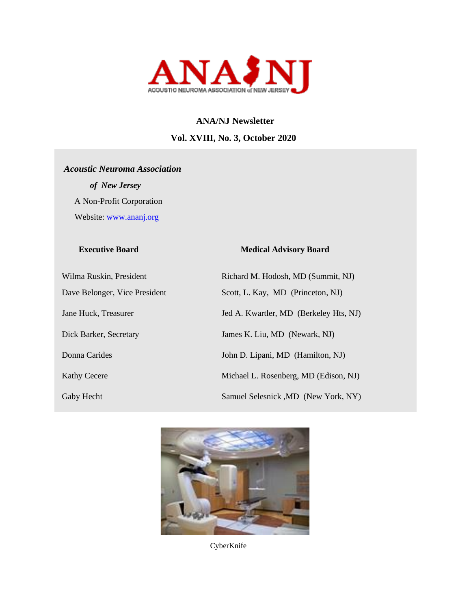

# **ANA/NJ Newsletter Vol. XVIII, No. 3, October 2020**

# *Acoustic Neuroma Association* *of New Jersey*  A Non-Profit Corporation Website: [www.ananj.org](http://www.ananj.org/)

# Gaby Hecht Samuel Selesnick ,MD (New York, NY)

### **Executive Board Medical Advisory Board**

Wilma Ruskin, President Richard M. Hodosh, MD (Summit, NJ) Dave Belonger, Vice President Scott, L. Kay, MD (Princeton, NJ) Jane Huck, Treasurer Jed A. Kwartler, MD (Berkeley Hts, NJ) Dick Barker, Secretary James K. Liu, MD (Newark, NJ) Donna Carides John D. Lipani, MD (Hamilton, NJ) Kathy Cecere Michael L. Rosenberg, MD (Edison, NJ)



CyberKnife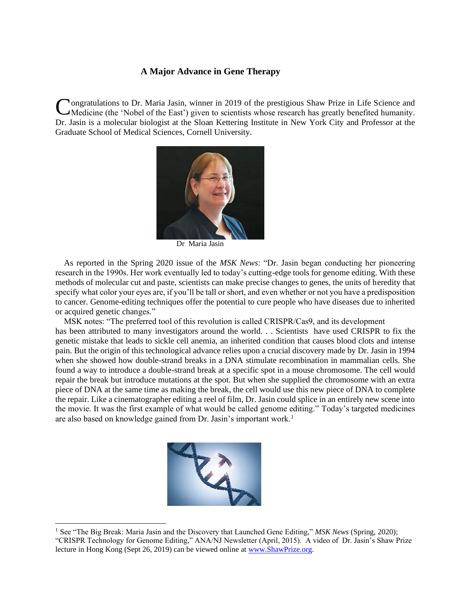### **A Major Advance in Gene Therapy**

**Nongratulations to Dr. Maria Jasin, winner in 2019 of the prestigious Shaw Prize in Life Science and** Congratulations to Dr. Maria Jasin, winner in 2019 of the prestigious Shaw Prize in Life Science and Medicine (the 'Nobel of the East') given to scientists whose research has greatly benefited humanity. Dr. Jasin is a molecular biologist at the Sloan Kettering Institute in New York City and Professor at the Graduate School of Medical Sciences, Cornell University.



Dr Maria Jasin

 As reported in the Spring 2020 issue of the *MSK News*: "Dr. Jasin began conducting her pioneering research in the 1990s. Her work eventually led to today's cutting-edge tools for genome editing. With these methods of molecular cut and paste, scientists can make precise changes to genes, the units of heredity that specify what color your eyes are, if you'll be tall or short, and even whether or not you have a predisposition to cancer. Genome-editing techniques offer the potential to cure people who have diseases due to inherited or acquired genetic changes."

 MSK notes: "The preferred tool of this revolution is called CRISPR/Cas9, and its development has been attributed to many investigators around the world. . . Scientists have used CRISPR to fix the genetic mistake that leads to sickle cell anemia, an inherited condition that causes blood clots and intense pain. But the origin of this technological advance relies upon a crucial discovery made by Dr. Jasin in 1994 when she showed how double-strand breaks in a DNA stimulate recombination in mammalian cells. She found a way to introduce a double-strand break at a specific spot in a mouse chromosome. The cell would repair the break but introduce mutations at the spot. But when she supplied the chromosome with an extra piece of DNA at the same time as making the break, the cell would use this new piece of DNA to complete the repair. Like a cinematographer editing a reel of film, Dr. Jasin could splice in an entirely new scene into the movie. It was the first example of what would be called genome editing." Today's targeted medicines are also based on knowledge gained from Dr. Jasin's important work.<sup>1</sup>



<sup>1</sup> See "The Big Break: Maria Jasin and the Discovery that Launched Gene Editing," *MSK News* (Spring, 2020); "CRISPR Technology for Genome Editing," ANA/NJ Newsletter (April, 2015). A video of Dr. Jasin's Shaw Prize lecture in Hong Kong (Sept 26, 2019) can be viewed online at [www.ShawPrize.org.](http://www.shawprize.org/)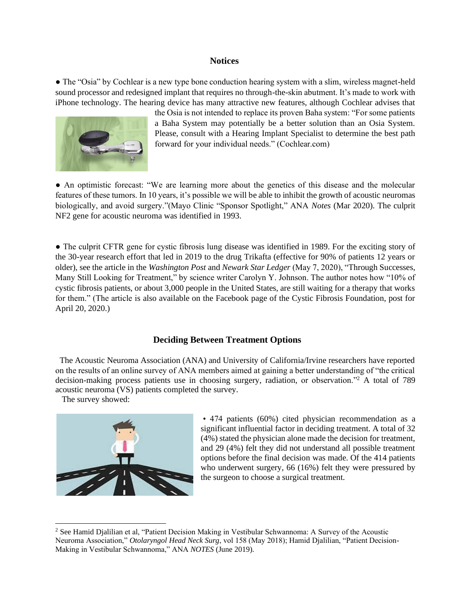### **Notices**

● The "Osia" by Cochlear is a new type bone conduction hearing system with a slim, wireless magnet-held sound processor and redesigned implant that requires no through-the-skin abutment. It's made to work with iPhone technology. The hearing device has many attractive new features, although Cochlear advises that



the Osia is not intended to replace its proven Baha system: "For some patients a Baha System may potentially be a better solution than an Osia System. Please, consult with a Hearing Implant Specialist to determine the best path forward for your individual needs." (Cochlear.com)

● An optimistic forecast: "We are learning more about the genetics of this disease and the molecular features of these tumors. In 10 years, it's possible we will be able to inhibit the growth of acoustic neuromas biologically, and avoid surgery."(Mayo Clinic "Sponsor Spotlight," ANA *Notes* (Mar 2020). The culprit NF2 gene for acoustic neuroma was identified in 1993.

• The culprit CFTR gene for cystic fibrosis lung disease was identified in 1989. For the exciting story of the 30-year research effort that led in 2019 to the drug Trikafta (effective for 90% of patients 12 years or older), see the article in the *Washington Post* and *Newark Star Ledger* (May 7, 2020), "Through Successes, Many Still Looking for Treatment," by science writer Carolyn Y. Johnson. The author notes how "10% of cystic fibrosis patients, or about 3,000 people in the United States, are still waiting for a therapy that works for them." (The article is also available on the Facebook page of the Cystic Fibrosis Foundation, post for April 20, 2020.)

### **Deciding Between Treatment Options**

 The Acoustic Neuroma Association (ANA) and University of California/Irvine researchers have reported on the results of an online survey of ANA members aimed at gaining a better understanding of "the critical decision-making process patients use in choosing surgery, radiation, or observation."<sup>2</sup> A total of 789 acoustic neuroma (VS) patients completed the survey.

The survey showed:



• 474 patients (60%) cited physician recommendation as a significant influential factor in deciding treatment. A total of 32 (4%) stated the physician alone made the decision for treatment, and 29 (4%) felt they did not understand all possible treatment options before the final decision was made. Of the 414 patients who underwent surgery, 66 (16%) felt they were pressured by the surgeon to choose a surgical treatment.

<sup>2</sup> See Hamid Djalilian et al, "Patient Decision Making in Vestibular Schwannoma: A Survey of the Acoustic Neuroma Association," *Otolaryngol Head Neck Surg*, vol 158 (May 2018); Hamid Djalilian, "Patient Decision-Making in Vestibular Schwannoma," ANA *NOTES* (June 2019).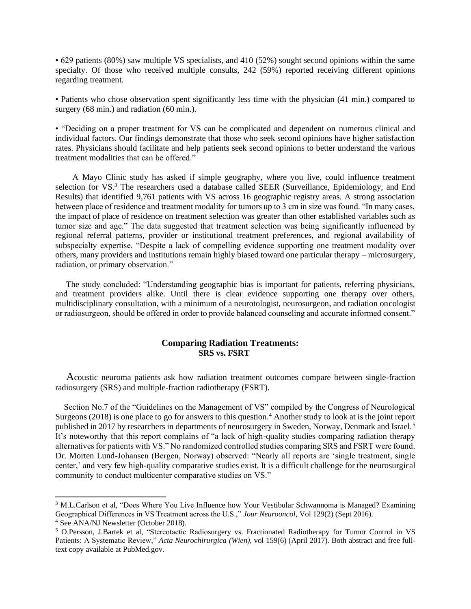• 629 patients (80%) saw multiple VS specialists, and 410 (52%) sought second opinions within the same specialty. Of those who received multiple consults, 242 (59%) reported receiving different opinions regarding treatment.

• Patients who chose observation spent significantly less time with the physician (41 min.) compared to surgery (68 min.) and radiation (60 min.).

• "Deciding on a proper treatment for VS can be complicated and dependent on numerous clinical and individual factors. Our findings demonstrate that those who seek second opinions have higher satisfaction rates. Physicians should facilitate and help patients seek second opinions to better understand the various treatment modalities that can be offered."

 A Mayo Clinic study has asked if simple geography, where you live, could influence treatment selection for VS.<sup>3</sup> The researchers used a database called SEER (Surveillance, Epidemiology, and End Results) that identified 9,761 patients with VS across 16 geographic registry areas. A strong association between place of residence and treatment modality for tumors up to 3 cm in size was found. "In many cases, the impact of place of residence on treatment selection was greater than other established variables such as tumor size and age." The data suggested that treatment selection was being significantly influenced by regional referral patterns, provider or institutional treatment preferences, and regional availability of subspecialty expertise. "Despite a lack of compelling evidence supporting one treatment modality over others, many providers and institutions remain highly biased toward one particular therapy – microsurgery, radiation, or primary observation."

 The study concluded: "Understanding geographic bias is important for patients, referring physicians, and treatment providers alike. Until there is clear evidence supporting one therapy over others, multidisciplinary consultation, with a minimum of a neurotologist, neurosurgeon, and radiation oncologist or radiosurgeon, should be offered in order to provide balanced counseling and accurate informed consent."

### **Comparing Radiation Treatments: SRS vs. FSRT**

Acoustic neuroma patients ask how radiation treatment outcomes compare between single-fraction radiosurgery (SRS) and multiple-fraction radiotherapy (FSRT).

 Section No.7 of the "Guidelines on the Management of VS" compiled by the Congress of Neurological Surgeons (2018) is one place to go for answers to this question.<sup>4</sup> Another study to look at is the joint report published in 2017 by researchers in departments of neurosurgery in Sweden, Norway, Denmark and Israel. <sup>5</sup> It's noteworthy that this report complains of "a lack of high-quality studies comparing radiation therapy alternatives for patients with VS." No randomized controlled studies comparing SRS and FSRT were found. Dr. Morten Lund-Johansen (Bergen, Norway) observed: "Nearly all reports are 'single treatment, single center,' and very few high-quality comparative studies exist. It is a difficult challenge for the neurosurgical community to conduct multicenter comparative studies on VS."

<sup>&</sup>lt;sup>3</sup> M.L.Carlson et al, "Does Where You Live Influence how Your Vestibular Schwannoma is Managed? Examining Geographical Differences in VS Treatment across the U.S.," *Jour Neurooncol*, Vol 129(2) (Sept 2016). <sup>4</sup> See ANA/NJ Newsletter (October 2018).

<sup>5</sup> O.Persson, J.Bartek et al, "Stereotactic Radiosurgery vs. Fractionated Radiotherapy for Tumor Control in VS Patients: A Systematic Review," *Acta Neurochirurgica (Wien)*, vol 159(6) (April 2017). Both abstract and free fulltext copy available at PubMed.gov.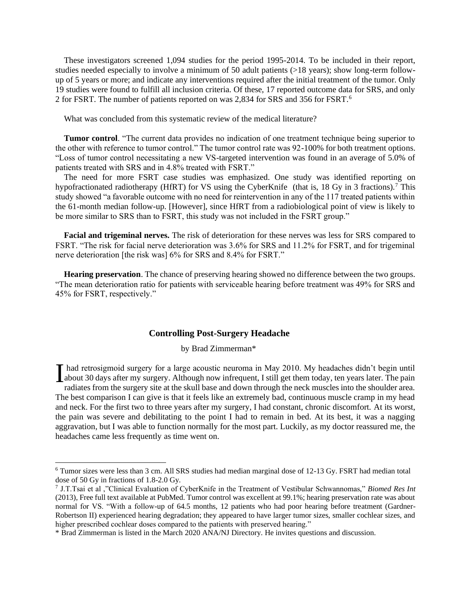These investigators screened 1,094 studies for the period 1995-2014. To be included in their report, studies needed especially to involve a minimum of 50 adult patients (>18 years); show long-term followup of 5 years or more; and indicate any interventions required after the initial treatment of the tumor. Only 19 studies were found to fulfill all inclusion criteria. Of these, 17 reported outcome data for SRS, and only 2 for FSRT. The number of patients reported on was 2,834 for SRS and 356 for FSRT.<sup>6</sup>

What was concluded from this systematic review of the medical literature?

 **Tumor control**. "The current data provides no indication of one treatment technique being superior to the other with reference to tumor control." The tumor control rate was 92-100% for both treatment options. "Loss of tumor control necessitating a new VS-targeted intervention was found in an average of 5.0% of patients treated with SRS and in 4.8% treated with FSRT."

 The need for more FSRT case studies was emphasized. One study was identified reporting on hypofractionated radiotherapy (HfRT) for VS using the CyberKnife (that is, 18 Gy in 3 fractions).<sup>7</sup> This study showed "a favorable outcome with no need for reintervention in any of the 117 treated patients within the 61-month median follow-up. [However], since HfRT from a radiobiological point of view is likely to be more similar to SRS than to FSRT, this study was not included in the FSRT group."

 **Facial and trigeminal nerves.** The risk of deterioration for these nerves was less for SRS compared to FSRT. "The risk for facial nerve deterioration was 3.6% for SRS and 11.2% for FSRT, and for trigeminal nerve deterioration [the risk was] 6% for SRS and 8.4% for FSRT."

 **Hearing preservation**. The chance of preserving hearing showed no difference between the two groups. "The mean deterioration ratio for patients with serviceable hearing before treatment was 49% for SRS and 45% for FSRT, respectively."

### **Controlling Post-Surgery Headache**

by Brad Zimmerman\*

had retrosigmoid surgery for a large acoustic neuroma in May 2010. My headaches didn't begin until I had retrosigmoid surgery for a large acoustic neuroma in May 2010. My headaches didn't begin until<br>about 30 days after my surgery. Although now infrequent, I still get them today, ten years later. The pain<br>redistos from radiates from the surgery site at the skull base and down through the neck muscles into the shoulder area. The best comparison I can give is that it feels like an extremely bad, continuous muscle cramp in my head and neck. For the first two to three years after my surgery, I had constant, chronic discomfort. At its worst, the pain was severe and debilitating to the point I had to remain in bed. At its best, it was a nagging aggravation, but I was able to function normally for the most part. Luckily, as my doctor reassured me, the headaches came less frequently as time went on.

<sup>6</sup> Tumor sizes were less than 3 cm. All SRS studies had median marginal dose of 12-13 Gy. FSRT had median total dose of 50 Gy in fractions of 1.8-2.0 Gy.

<sup>7</sup> J.T.Tsai et al ,"Clinical Evaluation of CyberKnife in the Treatment of Vestibular Schwannomas," *Biomed Res Int* (2013), Free full text available at PubMed. Tumor control was excellent at 99.1%; hearing preservation rate was about normal for VS. "With a follow-up of 64.5 months, 12 patients who had poor hearing before treatment (Gardner-Robertson II) experienced hearing degradation; they appeared to have larger tumor sizes, smaller cochlear sizes, and higher prescribed cochlear doses compared to the patients with preserved hearing."

<sup>\*</sup> Brad Zimmerman is listed in the March 2020 ANA/NJ Directory. He invites questions and discussion.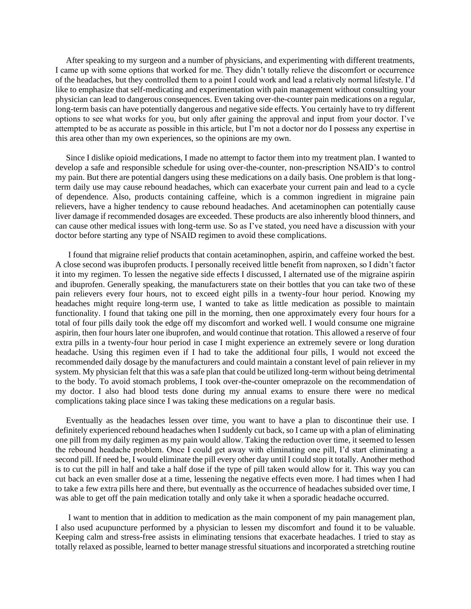After speaking to my surgeon and a number of physicians, and experimenting with different treatments, I came up with some options that worked for me. They didn't totally relieve the discomfort or occurrence of the headaches, but they controlled them to a point I could work and lead a relatively normal lifestyle. I'd like to emphasize that self-medicating and experimentation with pain management without consulting your physician can lead to dangerous consequences. Even taking over-the-counter pain medications on a regular, long-term basis can have potentially dangerous and negative side effects. You certainly have to try different options to see what works for you, but only after gaining the approval and input from your doctor. I've attempted to be as accurate as possible in this article, but I'm not a doctor nor do I possess any expertise in this area other than my own experiences, so the opinions are my own.

 Since I dislike opioid medications, I made no attempt to factor them into my treatment plan. I wanted to develop a safe and responsible schedule for using over-the-counter, non-prescription NSAID's to control my pain. But there are potential dangers using these medications on a daily basis. One problem is that longterm daily use may cause rebound headaches, which can exacerbate your current pain and lead to a cycle of dependence. Also, products containing caffeine, which is a common ingredient in migraine pain relievers, have a higher tendency to cause rebound headaches. And acetaminophen can potentially cause liver damage if recommended dosages are exceeded. These products are also inherently blood thinners, and can cause other medical issues with long-term use. So as I've stated, you need have a discussion with your doctor before starting any type of NSAID regimen to avoid these complications.

 I found that migraine relief products that contain acetaminophen, aspirin, and caffeine worked the best. A close second was ibuprofen products. I personally received little benefit from naproxen, so I didn't factor it into my regimen. To lessen the negative side effects I discussed, I alternated use of the migraine aspirin and ibuprofen. Generally speaking, the manufacturers state on their bottles that you can take two of these pain relievers every four hours, not to exceed eight pills in a twenty-four hour period. Knowing my headaches might require long-term use, I wanted to take as little medication as possible to maintain functionality. I found that taking one pill in the morning, then one approximately every four hours for a total of four pills daily took the edge off my discomfort and worked well. I would consume one migraine aspirin, then four hours later one ibuprofen, and would continue that rotation. This allowed a reserve of four extra pills in a twenty-four hour period in case I might experience an extremely severe or long duration headache. Using this regimen even if I had to take the additional four pills, I would not exceed the recommended daily dosage by the manufacturers and could maintain a constant level of pain reliever in my system. My physician felt that this was a safe plan that could be utilized long-term without being detrimental to the body. To avoid stomach problems, I took over-the-counter omeprazole on the recommendation of my doctor. I also had blood tests done during my annual exams to ensure there were no medical complications taking place since I was taking these medications on a regular basis.

 Eventually as the headaches lessen over time, you want to have a plan to discontinue their use. I definitely experienced rebound headaches when I suddenly cut back, so I came up with a plan of eliminating one pill from my daily regimen as my pain would allow. Taking the reduction over time, it seemed to lessen the rebound headache problem. Once I could get away with eliminating one pill, I'd start eliminating a second pill. If need be, I would eliminate the pill every other day until I could stop it totally. Another method is to cut the pill in half and take a half dose if the type of pill taken would allow for it. This way you can cut back an even smaller dose at a time, lessening the negative effects even more. I had times when I had to take a few extra pills here and there, but eventually as the occurrence of headaches subsided over time, I was able to get off the pain medication totally and only take it when a sporadic headache occurred.

 I want to mention that in addition to medication as the main component of my pain management plan, I also used acupuncture performed by a physician to lessen my discomfort and found it to be valuable. Keeping calm and stress-free assists in eliminating tensions that exacerbate headaches. I tried to stay as totally relaxed as possible, learned to better manage stressful situations and incorporated a stretching routine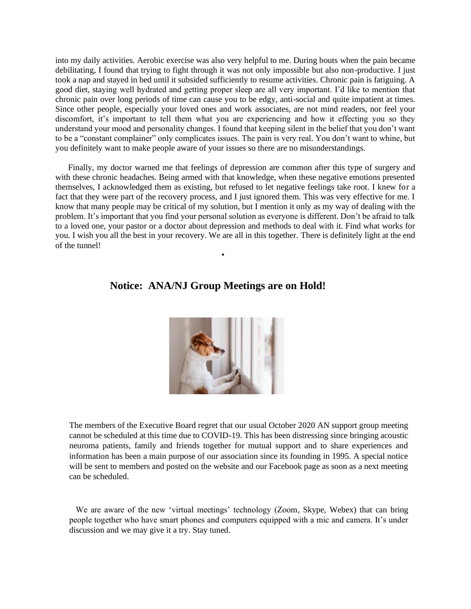into my daily activities. Aerobic exercise was also very helpful to me. During bouts when the pain became debilitating, I found that trying to fight through it was not only impossible but also non-productive. I just took a nap and stayed in bed until it subsided sufficiently to resume activities. Chronic pain is fatiguing. A good diet, staying well hydrated and getting proper sleep are all very important. I'd like to mention that chronic pain over long periods of time can cause you to be edgy, anti-social and quite impatient at times. Since other people, especially your loved ones and work associates, are not mind readers, nor feel your discomfort, it's important to tell them what you are experiencing and how it effecting you so they understand your mood and personality changes. I found that keeping silent in the belief that you don't want to be a "constant complainer" only complicates issues. The pain is very real. You don't want to whine, but you definitely want to make people aware of your issues so there are no misunderstandings.

 Finally, my doctor warned me that feelings of depression are common after this type of surgery and with these chronic headaches. Being armed with that knowledge, when these negative emotions presented themselves, I acknowledged them as existing, but refused to let negative feelings take root. I knew for a fact that they were part of the recovery process, and I just ignored them. This was very effective for me. I know that many people may be critical of my solution, but I mention it only as my way of dealing with the problem. It's important that you find your personal solution as everyone is different. Don't be afraid to talk to a loved one, your pastor or a doctor about depression and methods to deal with it. Find what works for you. I wish you all the best in your recovery. We are all in this together. There is definitely light at the end of the tunnel!

## **Notice: ANA/NJ Group Meetings are on Hold!**

•



The members of the Executive Board regret that our usual October 2020 AN support group meeting cannot be scheduled at this time due to COVID-19. This has been distressing since bringing acoustic neuroma patients, family and friends together for mutual support and to share experiences and information has been a main purpose of our association since its founding in 1995. A special notice will be sent to members and posted on the website and our Facebook page as soon as a next meeting can be scheduled.

 We are aware of the new 'virtual meetings' technology (Zoom, Skype, Webex) that can bring people together who have smart phones and computers equipped with a mic and camera. It's under discussion and we may give it a try. Stay tuned.